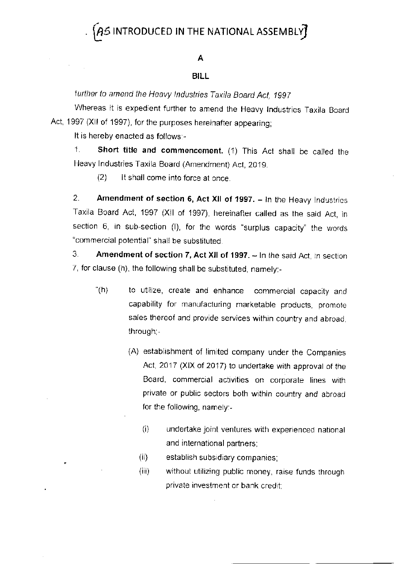## $\bm{\beta}$ 5 INTRODUCED IN THE NATIONAL ASSEMBLY $\bm{\bar{f}}$

#### A

#### **BILL**

further to amend the Heavy Industries Taxila Board Act, 1997

Whereas it is expedient further to amend the Heavy Industries Taxila Board Act, 1997 (XII of 1997), for the purposes hereinafter appearing;

It is hereby enacted as follows:-

 $\sim$ 

1. Short title and commencement. (1) This Act shall be called the Heavy Industries Taxila Board (Amendment) Act, 2019.

It shall come into force at once.  $(2)$ 

 $2<sup>1</sup>$ Amendment of section 6, Act XII of 1997. - In the Heavy Industries Taxila Board Act, 1997 (XII of 1997), hereinafter called as the said Act, in section 6, in sub-section (I), for the words "surplus capacity" the words "commercial potential" shall be substituted.

З. Amendment of section 7, Act XII of 1997. - In the said Act, in section 7, for clause (h), the following shall be substituted, namely:-

- " $(h)$ to utilize, create and enhance commercial capacity and capability for manufacturing marketable products, promote sales thereof and provide services within country and abroad. through:-
	- (A) establishment of limited company under the Companies Act, 2017 (XIX of 2017) to undertake with approval of the Board, commercial activities on corporate lines with private or public sectors both within country and abroad for the following, namely:-
		- $(i)$ undertake joint ventures with experienced national and international partners;
		- $(ii)$ establish subsidiary companies;
		- $(iii)$ without utilizing public money, raise funds through private investment or bank credit: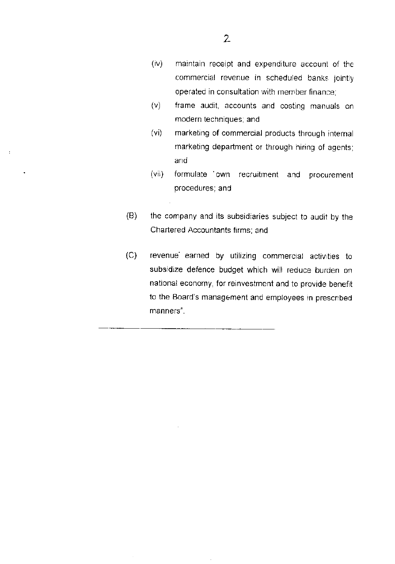- frame audit, accounts and costing manuals on  $(v)$ modern techniques; and
- $(vi)$ marketing of commercial products through internal marketing department or through hiring of agents; and
- formulate 'own recruitment and procurement  $(iiv)$ procedures; and
- $(B)$ the company and its subsidiaries subject to audit by the Chartered Accountants firms; and
- $(C)$ revenue earned by utilizing commercial activities to subsidize defence budget which will reduce burden on national economy, for reinvestment and to provide benefit to the Board's management and employees in prescribed manners".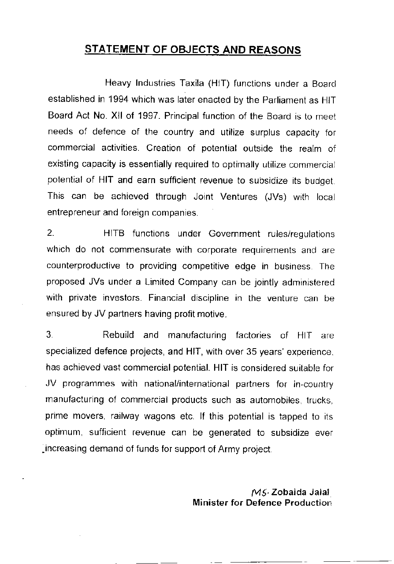### STATEMENT OF OBJECTS AND REASONS

Heavy lnduslries Taxila (HIT) Functions under a Board established in 1994 which was later enacted by the Parliament as HIT Board Act No. XII of 1997. Principal function of the Board is to meet needs of defence of the country and utilize surplus capacity for commercial activities. Creation of potential outside the realm of existing capacity is essentially required to optimally utilize commercial potential of HIT and earn sufficient revenue to subsidize its budget. This can be achieved through Joint Ventures (JVs) with local entrepreneur and foreign companies.

2. HITB functions under Government rules/regulations which do not commensurate with corporate requirements and are counterproductive to providing competitive edge in busrness The proposed JVs under a Limited Company can be jointly administered with private investors. Financial discipline in the venture can be ensured by JV partners having profit motive.

3. Rebuild and manufacturing factories of HIT are specialized defence projects, and HlT, with over 35 years' experience. has achieved vast commercial potential. HIT is considered suitable for JV programmes with national/international partners for in-country manufacturing of commercial products such as automobiles, trucks. prime movers, railway wagons etc. If this potential is tapped to its optimum, sufficient revenue can be generated to subsidize ever ,increasing demand of funds for support of Army proJect.

> MS' Zobaida Jalal Minister for Defence Production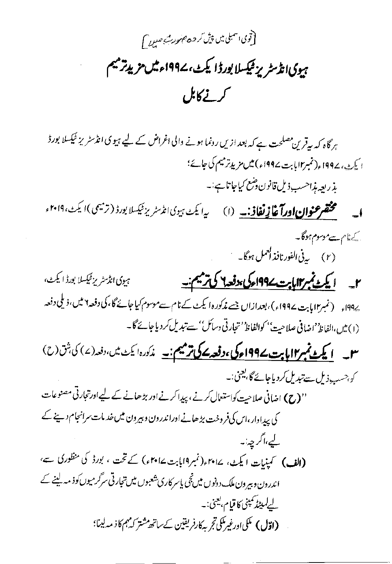(توی اسمبلی میں پی*ش کر جہ جنوں کیے ص<sub>لاح</sub>* ) ہیوی انڈسٹر پز ٹیکسلا بورڈ ایکٹ، ۱۹۹۷ء میں مزید ترمیم کرنے کابل

ہر گاہ کہ بیقرین مصلحت ہے کہ بعد ازیں رونما ہونے والی اغراض کے لیے ہیو کی انڈسٹریز ٹیکسلا بورڈ ا کیٹ، ۱۹۹۷ء(نمبر اابابت ۱۹۹۷ء) میں مزید ترمیم کی جائے؛ يذ ريعه بذاحسب ذيل قانون وضع كياجا تاس<sup>يا</sup> --مختصر عنوان اورآغا <u>زنفاذ: په</u> (ا) په ایکن هیوی انڈسٹریز<sup>ی</sup>یکسلا بورڈ (ترمیمی)ایک<sup>ی، ۲۰۱۹ء</sup>  $\overline{\phantom{a}}$ کے نام سےموسوم ہوگا۔ (۲) پی<sup>فی ا</sup>لفورنافذال<sup>عمل ہوگا۔</sup> ہیوی انڈسٹر پزشکسلا بورڈ ایکٹ، ۲\_ ایک نمبر المایت ۱۹۹<u>۷ کی ترسم:</u> 494ء (نمبر۱۲ پابت ۱۹۹۷ء )، بعدازاں جسے مذکورہ ایکٹ کے نام سےموسوم کیاجائے گا، کی دفعہ ۲ میں، ذیلی دفعہ (١) تين،الفاظ' اضافي صلاحيت'' كوالفاظ' حجارتي دسائل' سے تبدیل كردياجائے گا۔ سل ایکٹ <mark>نمبر ۱۱ پاپت ۱۹۹۷ء کی ،دفعہ کے ترمیم ن</mark>ے مذکورہ ایکٹ میں،دفعہ (۷) کی،ش (ح) ک<sub>و</sub> جسب ذیل سے تبدیل کر دیاجائے گا، بعینی:۔ ''(ح) اضافی صلاحیت کواستعمال کرنے، پیدا کرنے اور بڑھانے کے لیے اورتجارتی مصنوعات کی پیداوار،اس کی فروخت بڑھانے اوراندرون و بیرون میں خد مات سرانجام دینے کے ليے،اگر چہ نبہ (الف) کمپنیات ایکٹ، ۱۵۴۸؍(نمبر۱۹بابت۱۰۲۹ء) کے تحت ، بورڈ کی منظوری ہے، اندرون و بیرون ملک دونوں میں نجی پاسر کاری شعبوں میں تجارتی سرگرمیوں کوذیہ لینے کے لے *لیپٹر کمپنی کا قیام، یعن*ی:۔ (اقال) مَلَى ادرغيرمَلَي تج به كارفريقين كےساتھ مشتر كہ مہم كا ذ مہ لينا؛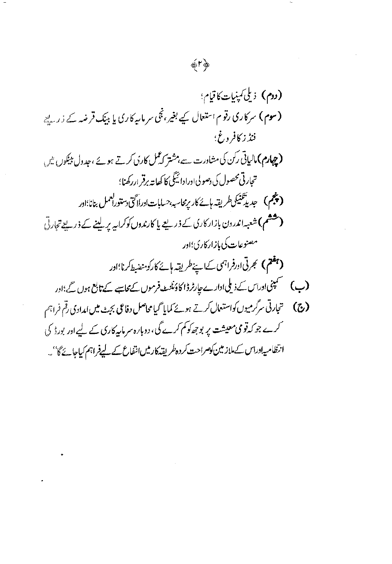$\sim$ 

 $\frac{1}{2}$ 

 $\sim$ 

 $\bar{z}$ 

 $\overline{\phantom{a}}$ 

 $\hat{\mathcal{A}}$ 

 $\langle$ 

 $\ddot{\phantom{0}}$ 

 $\overline{\phantom{a}}$ 

( دوم) 
$$
ن لیٰیٰیِیِیِاتیٰ تیٰیِ،  
\n( دوم) مرکاری دقو ماتتمال کیے بغیر، تی مرمایہیا کریا بیک قرضہ ے ڈر سیٹ  
\n(سوم) مرکارق رکنی مشاورت سے،شتر کارن کرتے ہوے، بودول بیکوں ش  
\n(چهام) مالیانی رکن ک مشاورت سے،شتر کمگل کارزی کرتے ہوئے، بیدول بیکوریش  
\n(چېم) جبریتکنیکولریقہ اوردازیکی درییع یا کارندران کرالیہ پریینے کے ذرییے ت<sup>ی</sup>ارق  
\n(چېم) جبریتکنیکوران بارانرکن؛ اور  
\n(چېم) جمری آورفرانی کیان دارکرک؛ اور  
\n(چې) حیزی آار(زی<sup>ن</sup>ی کیانینیکریزیکی، اور  
\n(چې) حینی میشیات کی دلیانارے جیارٹرائوکی، اور  
\n(چ) حینی میتی پر پوچھوکم کرے کی، دویا/ میں میات کی بیں امدادی رق میشات  
\nکرے جوکروقی میشت پر پوچھوکم کرے کی، دویا/، مریاین کریلی کری میت میں امدادی رق میش تریکی کیے اور بورڈ کی  
ارتظامیاوراتی کیلاز مین کومرات سکروم کری میش تی پریمیکی کی میدی میش تریں تھیشی
$$

 $\hat{\mathcal{A}}$